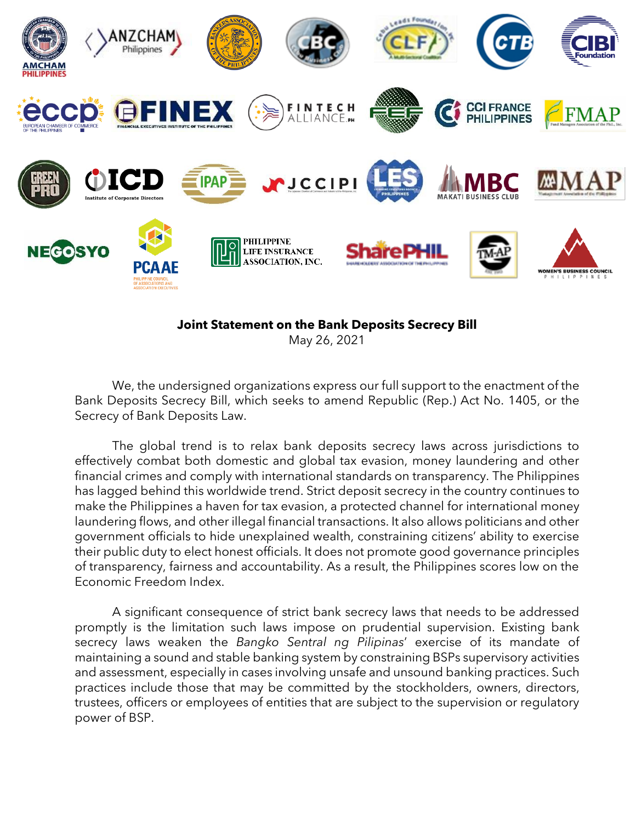

## **Joint Statement on the Bank Deposits Secrecy Bill**

May 26, 2021

We, the undersigned organizations express our full support to the enactment of the Bank Deposits Secrecy Bill, which seeks to amend Republic (Rep.) Act No. 1405, or the Secrecy of Bank Deposits Law.

The global trend is to relax bank deposits secrecy laws across jurisdictions to effectively combat both domestic and global tax evasion, money laundering and other financial crimes and comply with international standards on transparency. The Philippines has lagged behind this worldwide trend. Strict deposit secrecy in the country continues to make the Philippines a haven for tax evasion, a protected channel for international money laundering flows, and other illegal financial transactions. It also allows politicians and other government officials to hide unexplained wealth, constraining citizens' ability to exercise their public duty to elect honest officials. It does not promote good governance principles of transparency, fairness and accountability. As a result, the Philippines scores low on the Economic Freedom Index.

A significant consequence of strict bank secrecy laws that needs to be addressed promptly is the limitation such laws impose on prudential supervision. Existing bank secrecy laws weaken the *Bangko Sentral ng Pilipinas*' exercise of its mandate of maintaining a sound and stable banking system by constraining BSPs supervisory activities and assessment, especially in cases involving unsafe and unsound banking practices. Such practices include those that may be committed by the stockholders, owners, directors, trustees, officers or employees of entities that are subject to the supervision or regulatory power of BSP.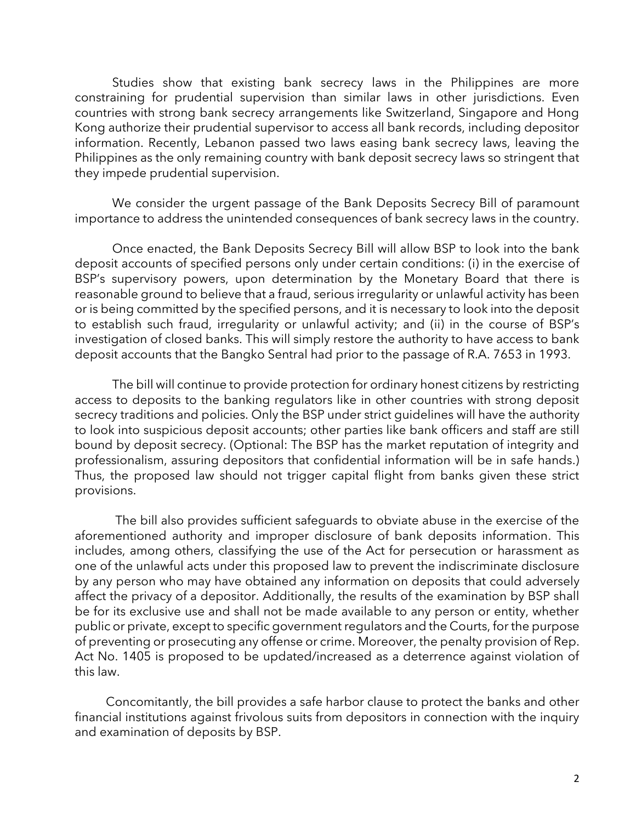Studies show that existing bank secrecy laws in the Philippines are more constraining for prudential supervision than similar laws in other jurisdictions. Even countries with strong bank secrecy arrangements like Switzerland, Singapore and Hong Kong authorize their prudential supervisor to access all bank records, including depositor information. Recently, Lebanon passed two laws easing bank secrecy laws, leaving the Philippines as the only remaining country with bank deposit secrecy laws so stringent that they impede prudential supervision.

We consider the urgent passage of the Bank Deposits Secrecy Bill of paramount importance to address the unintended consequences of bank secrecy laws in the country.

Once enacted, the Bank Deposits Secrecy Bill will allow BSP to look into the bank deposit accounts of specified persons only under certain conditions: (i) in the exercise of BSP's supervisory powers, upon determination by the Monetary Board that there is reasonable ground to believe that a fraud, serious irregularity or unlawful activity has been or is being committed by the specified persons, and it is necessary to look into the deposit to establish such fraud, irregularity or unlawful activity; and (ii) in the course of BSP's investigation of closed banks. This will simply restore the authority to have access to bank deposit accounts that the Bangko Sentral had prior to the passage of R.A. 7653 in 1993.

The bill will continue to provide protection for ordinary honest citizens by restricting access to deposits to the banking regulators like in other countries with strong deposit secrecy traditions and policies. Only the BSP under strict guidelines will have the authority to look into suspicious deposit accounts; other parties like bank officers and staff are still bound by deposit secrecy. (Optional: The BSP has the market reputation of integrity and professionalism, assuring depositors that confidential information will be in safe hands.) Thus, the proposed law should not trigger capital flight from banks given these strict provisions.

 The bill also provides sufficient safeguards to obviate abuse in the exercise of the aforementioned authority and improper disclosure of bank deposits information. This includes, among others, classifying the use of the Act for persecution or harassment as one of the unlawful acts under this proposed law to prevent the indiscriminate disclosure by any person who may have obtained any information on deposits that could adversely affect the privacy of a depositor. Additionally, the results of the examination by BSP shall be for its exclusive use and shall not be made available to any person or entity, whether public or private, except to specific government regulators and the Courts, for the purpose of preventing or prosecuting any offense or crime. Moreover, the penalty provision of Rep. Act No. 1405 is proposed to be updated/increased as a deterrence against violation of this law.

 Concomitantly, the bill provides a safe harbor clause to protect the banks and other financial institutions against frivolous suits from depositors in connection with the inquiry and examination of deposits by BSP.